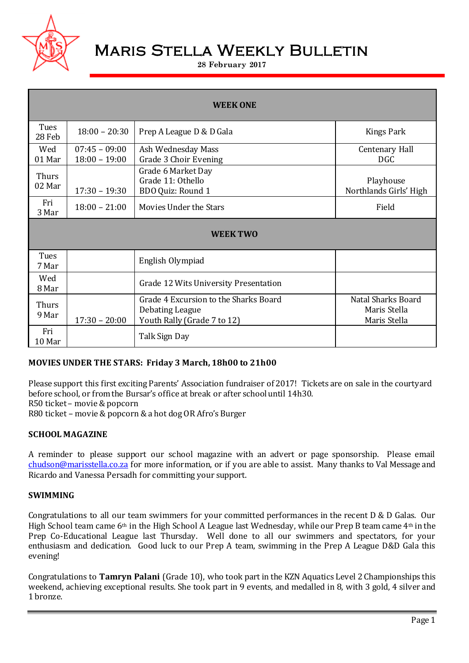

# Maris Stella Weekly Bulletin

#### **28 February 2017**

| <b>WEEK ONE</b>       |                                    |                                                                                         |                                                           |  |  |
|-----------------------|------------------------------------|-----------------------------------------------------------------------------------------|-----------------------------------------------------------|--|--|
| Tues<br>28 Feb        | $18:00 - 20:30$                    | Prep A League D & D Gala                                                                | Kings Park                                                |  |  |
| Wed<br>01 Mar         | $07:45 - 09:00$<br>$18:00 - 19:00$ | Ash Wednesday Mass<br>Grade 3 Choir Evening                                             | Centenary Hall<br><b>DGC</b>                              |  |  |
| Thurs<br>02 Mar       | $17:30 - 19:30$                    | Grade 6 Market Day<br>Grade 11: Othello<br>BDO Quiz: Round 1                            | Playhouse<br>Northlands Girls' High                       |  |  |
| Fri<br>3 Mar          | $18:00 - 21:00$                    | Movies Under the Stars                                                                  | Field                                                     |  |  |
| <b>WEEK TWO</b>       |                                    |                                                                                         |                                                           |  |  |
| Tues<br>7 Mar         |                                    | English Olympiad                                                                        |                                                           |  |  |
| Wed<br>8 Mar          |                                    | Grade 12 Wits University Presentation                                                   |                                                           |  |  |
| <b>Thurs</b><br>9 Mar | $17:30 - 20:00$                    | Grade 4 Excursion to the Sharks Board<br>Debating League<br>Youth Rally (Grade 7 to 12) | <b>Natal Sharks Board</b><br>Maris Stella<br>Maris Stella |  |  |
| Fri<br>10 Mar         |                                    | Talk Sign Day                                                                           |                                                           |  |  |

# **MOVIES UNDER THE STARS: Friday 3 March, 18h00 to 21h00**

Please support this first exciting Parents' Association fundraiser of 2017! Tickets are on sale in the courtyard before school, or from the Bursar's office at break or after school until 14h30. R50 ticket – movie & popcorn R80 ticket – movie & popcorn & a hot dog OR Afro's Burger

**SCHOOL MAGAZINE**

A reminder to please support our school magazine with an advert or page sponsorship. Please email [chudson@marisstella.co.za](mailto:chudson@marisstella.co.za) for more information, or if you are able to assist. Many thanks to Val Message and Ricardo and Vanessa Persadh for committing your support.

#### **SWIMMING**

Congratulations to all our team swimmers for your committed performances in the recent D & D Galas. Our High School team came  $6<sup>th</sup>$  in the High School A League last Wednesday, while our Prep B team came  $4<sup>th</sup>$  in the Prep Co-Educational League last Thursday. Well done to all our swimmers and spectators, for your enthusiasm and dedication. Good luck to our Prep A team, swimming in the Prep A League D&D Gala this evening!

Congratulations to **Tamryn Palani** (Grade 10), who took part in the KZN Aquatics Level 2 Championships this weekend, achieving exceptional results. She took part in 9 events, and medalled in 8, with 3 gold, 4 silver and 1 bronze.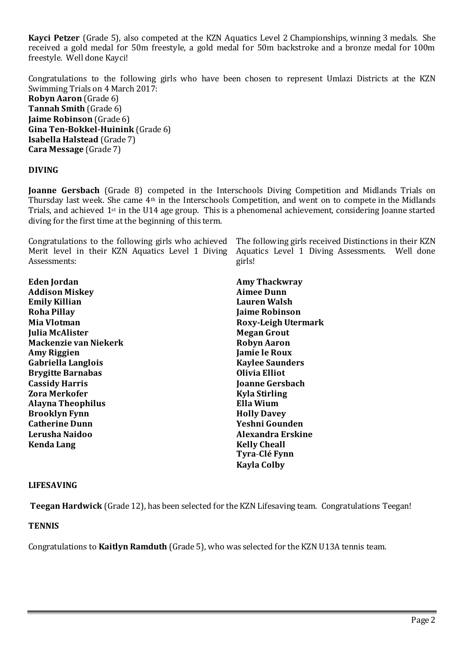**Kayci Petzer** (Grade 5), also competed at the KZN Aquatics Level 2 Championships, winning 3 medals. She received a gold medal for 50m freestyle, a gold medal for 50m backstroke and a bronze medal for 100m freestyle. Well done Kayci!

Congratulations to the following girls who have been chosen to represent Umlazi Districts at the KZN Swimming Trials on 4 March 2017: **Robyn Aaron** (Grade 6) **Tannah Smith** (Grade 6) **Jaime Robinson** (Grade 6) **Gina Ten-Bokkel-Huinink** (Grade 6) **Isabella Halstead** (Grade 7) **Cara Message** (Grade 7)

### **DIVING**

**Joanne Gersbach** (Grade 8) competed in the Interschools Diving Competition and Midlands Trials on Thursday last week. She came 4th in the Interschools Competition, and went on to compete in the Midlands Trials, and achieved 1st in the U14 age group. This is a phenomenal achievement, considering Joanne started diving for the first time at the beginning of this term.

Congratulations to the following girls who achieved Merit level in their KZN Aquatics Level 1 Diving Assessments:

**Eden Jordan Addison Miskey Emily Killian Roha Pillay Mia Vlotman Julia McAlister Mackenzie van Niekerk Amy Riggien Gabriella Langlois Brygitte Barnabas Cassidy Harris Zora Merkofer Alayna Theophilus Brooklyn Fynn Catherine Dunn Lerusha Naidoo Kenda Lang**

The following girls received Distinctions in their KZN Aquatics Level 1 Diving Assessments. Well done girls!

**Amy Thackwray Aimee Dunn Lauren Walsh Jaime Robinson Roxy-Leigh Utermark Megan Grout Robyn Aaron Jamie le Roux Kaylee Saunders Olivia Elliot Joanne Gersbach Kyla Stirling Ella Wium Holly Davey Yeshni Gounden Alexandra Erskine Kelly Cheall Tyra**-**Clé Fynn Kayla Colby**

#### **LIFESAVING**

**Teegan Hardwick** (Grade 12), has been selected for the KZN Lifesaving team. Congratulations Teegan!

### **TENNIS**

Congratulations to **Kaitlyn Ramduth** (Grade 5), who was selected for the KZN U13A tennis team.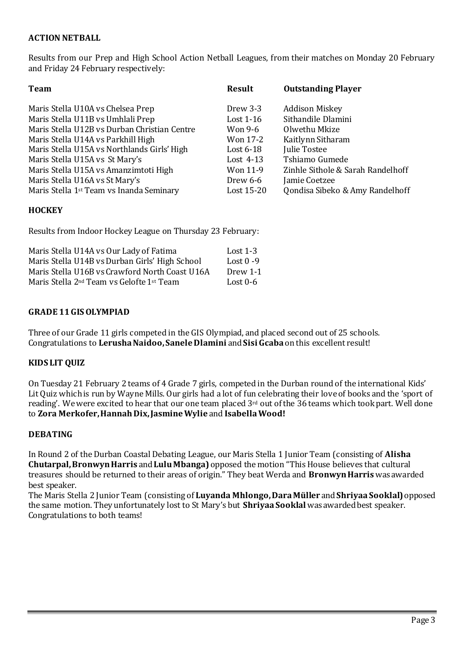## **ACTION NETBALL**

Results from our Prep and High School Action Netball Leagues, from their matches on Monday 20 February and Friday 24 February respectively:

| <b>Team</b>                                          | <b>Result</b> | <b>Outstanding Player</b>         |
|------------------------------------------------------|---------------|-----------------------------------|
| Maris Stella U10A vs Chelsea Prep                    | Drew 3-3      | <b>Addison Miskey</b>             |
| Maris Stella U11B vs Umhlali Prep                    | Lost $1-16$   | Sithandile Dlamini                |
| Maris Stella U12B vs Durban Christian Centre         | Won 9-6       | Olwethu Mkize                     |
| Maris Stella U14A vs Parkhill High                   | Won 17-2      | Kaitlynn Sitharam                 |
| Maris Stella U15A vs Northlands Girls' High          | Lost $6-18$   | <b>Julie Tostee</b>               |
| Maris Stella U15A vs St Mary's                       | Lost $4-13$   | Tshiamo Gumede                    |
| Maris Stella U15A vs Amanzimtoti High                | Won 11-9      | Zinhle Sithole & Sarah Randelhoff |
| Maris Stella U16A vs St Mary's                       | Drew $6-6$    | Jamie Coetzee                     |
| Maris Stella 1 <sup>st</sup> Team vs Inanda Seminary | Lost 15-20    | Qondisa Sibeko & Amy Randelhoff   |

### **HOCKEY**

Results from Indoor Hockey League on Thursday 23 February:

| Maris Stella U14A vs Our Lady of Fatima                           | Lost $1-3$   |
|-------------------------------------------------------------------|--------------|
| Maris Stella U14B vs Durban Girls' High School                    | Lost $0 - 9$ |
| Maris Stella U16B vs Crawford North Coast U16A                    | Drew 1-1     |
| Maris Stella 2 <sup>nd</sup> Team vs Gelofte 1 <sup>st</sup> Team | Lost $0-6$   |

### **GRADE 11 GIS OLYMPIAD**

Three of our Grade 11 girls competed in the GIS Olympiad, and placed second out of 25 schools. Congratulations to **Lerusha Naidoo, Sanele Dlamini** and**Sisi Gcaba** on this excellent result!

### **KIDS LIT QUIZ**

On Tuesday 21 February 2 teams of 4 Grade 7 girls, competed in the Durban round of the international Kids' Lit Quiz which is run by Wayne Mills. Our girls had a lot of fun celebrating their love of books and the 'sport of reading'. We were excited to hear that our one team placed  $3<sup>rd</sup>$  out of the 36 teams which took part. Well done to **Zora Merkofer, Hannah Dix, Jasmine Wylie** and **Isabella Wood!**

### **DEBATING**

In Round 2 of the Durban Coastal Debating League, our Maris Stella 1 Junior Team (consisting of **Alisha Chutarpal, Bronwyn Harris** and**Lulu Mbanga)** opposed the motion "This House believes that cultural treasures should be returned to their areas of origin." They beat Werda and **Bronwyn Harris** was awarded best speaker.

The Maris Stella 2 Junior Team (consisting of **Luyanda Mhlongo, Dara Müller** and**Shriyaa Sooklal)** opposed the same motion. They unfortunately lost to St Mary's but **Shriyaa Sooklal** was awarded best speaker. Congratulations to both teams!